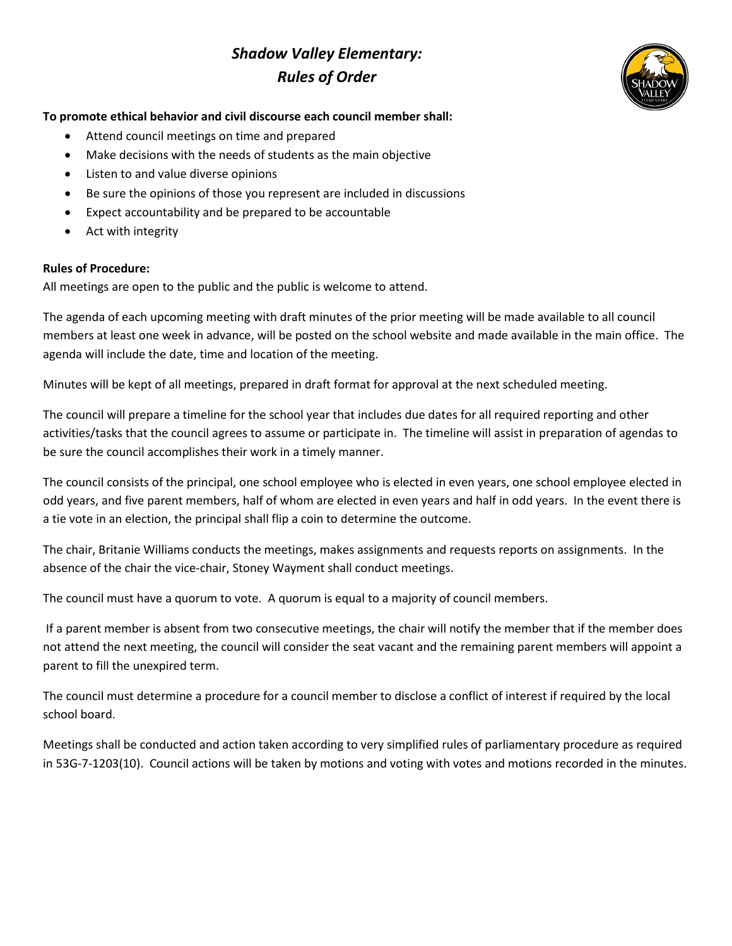## *Shadow Valley Elementary: Rules of Order*



## **To promote ethical behavior and civil discourse each council member shall:**

- Attend council meetings on time and prepared
- Make decisions with the needs of students as the main objective
- Listen to and value diverse opinions
- Be sure the opinions of those you represent are included in discussions
- Expect accountability and be prepared to be accountable
- Act with integrity

## **Rules of Procedure:**

All meetings are open to the public and the public is welcome to attend.

The agenda of each upcoming meeting with draft minutes of the prior meeting will be made available to all council members at least one week in advance, will be posted on the school website and made available in the main office. The agenda will include the date, time and location of the meeting.

Minutes will be kept of all meetings, prepared in draft format for approval at the next scheduled meeting.

The council will prepare a timeline for the school year that includes due dates for all required reporting and other activities/tasks that the council agrees to assume or participate in. The timeline will assist in preparation of agendas to be sure the council accomplishes their work in a timely manner.

The council consists of the principal, one school employee who is elected in even years, one school employee elected in odd years, and five parent members, half of whom are elected in even years and half in odd years. In the event there is a tie vote in an election, the principal shall flip a coin to determine the outcome.

The chair, Britanie Williams conducts the meetings, makes assignments and requests reports on assignments. In the absence of the chair the vice-chair, Stoney Wayment shall conduct meetings.

The council must have a quorum to vote. A quorum is equal to a majority of council members.

If a parent member is absent from two consecutive meetings, the chair will notify the member that if the member does not attend the next meeting, the council will consider the seat vacant and the remaining parent members will appoint a parent to fill the unexpired term.

The council must determine a procedure for a council member to disclose a conflict of interest if required by the local school board.

Meetings shall be conducted and action taken according to very simplified rules of parliamentary procedure as required in 53G-7-1203(10). Council actions will be taken by motions and voting with votes and motions recorded in the minutes.